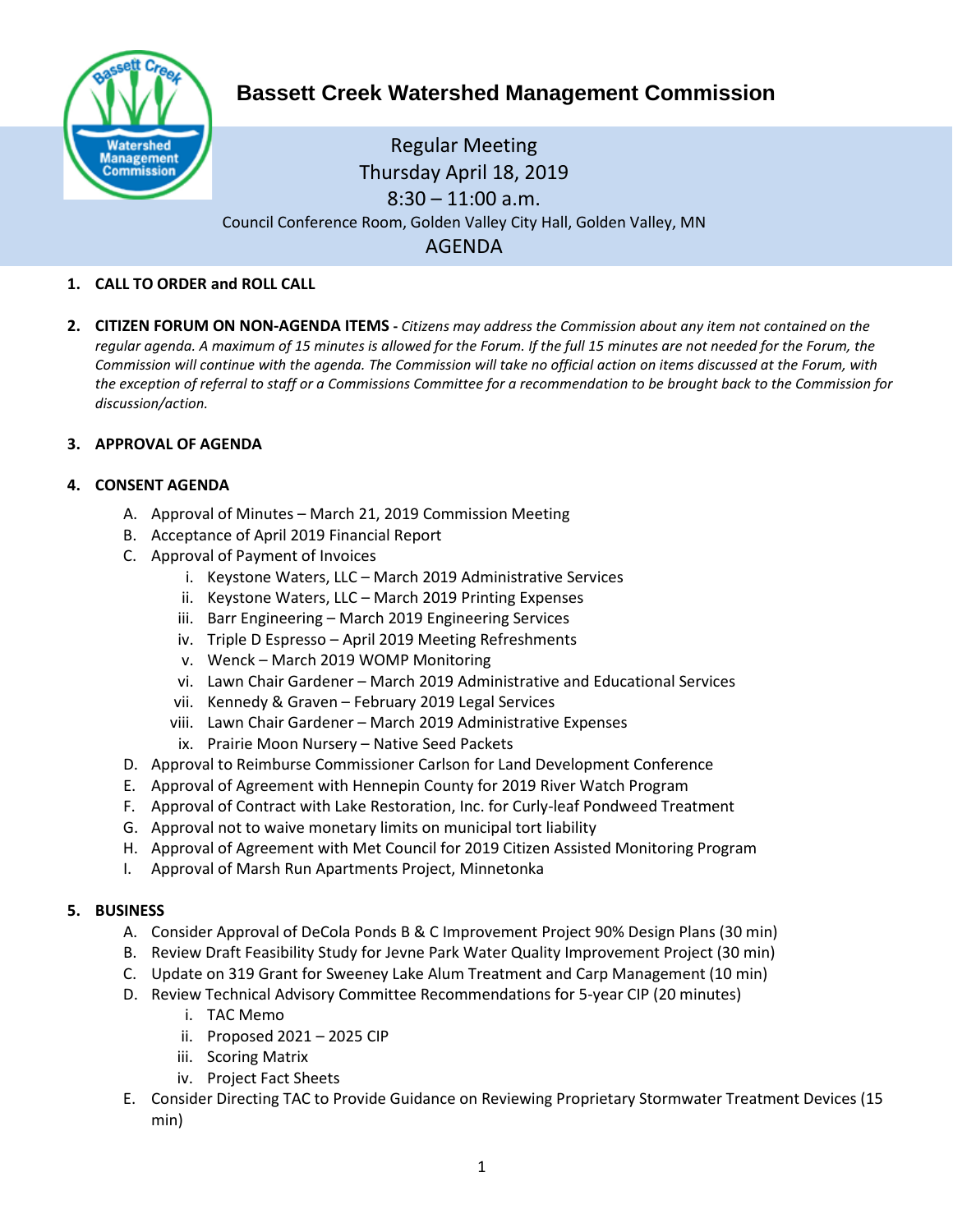

# **Bassett Creek Watershed Management Commission**

# Regular Meeting Thursday April 18, 2019  $8:30 - 11:00$  a.m. Council Conference Room, Golden Valley City Hall, Golden Valley, MN AGENDA

# **1. CALL TO ORDER and ROLL CALL**

**2. CITIZEN FORUM ON NON-AGENDA ITEMS -** *Citizens may address the Commission about any item not contained on the regular agenda. A maximum of 15 minutes is allowed for the Forum. If the full 15 minutes are not needed for the Forum, the Commission will continue with the agenda. The Commission will take no official action on items discussed at the Forum, with the exception of referral to staff or a Commissions Committee for a recommendation to be brought back to the Commission for discussion/action.*

# **3. APPROVAL OF AGENDA**

# **4. CONSENT AGENDA**

- A. Approval of Minutes March 21, 2019 Commission Meeting
- B. Acceptance of April 2019 Financial Report
- C. Approval of Payment of Invoices
	- i. Keystone Waters, LLC March 2019 Administrative Services
	- ii. Keystone Waters, LLC March 2019 Printing Expenses
	- iii. Barr Engineering March 2019 Engineering Services
	- iv. Triple D Espresso April 2019 Meeting Refreshments
	- v. Wenck March 2019 WOMP Monitoring
	- vi. Lawn Chair Gardener March 2019 Administrative and Educational Services
	- vii. Kennedy & Graven February 2019 Legal Services
	- viii. Lawn Chair Gardener March 2019 Administrative Expenses
	- ix. Prairie Moon Nursery Native Seed Packets
- D. Approval to Reimburse Commissioner Carlson for Land Development Conference
- E. Approval of Agreement with Hennepin County for 2019 River Watch Program
- F. Approval of Contract with Lake Restoration, Inc. for Curly-leaf Pondweed Treatment
- G. Approval not to waive monetary limits on municipal tort liability
- H. Approval of Agreement with Met Council for 2019 Citizen Assisted Monitoring Program
- I. Approval of Marsh Run Apartments Project, Minnetonka

#### **5. BUSINESS**

- A. Consider Approval of DeCola Ponds B & C Improvement Project 90% Design Plans (30 min)
- B. Review Draft Feasibility Study for Jevne Park Water Quality Improvement Project (30 min)
- C. Update on 319 Grant for Sweeney Lake Alum Treatment and Carp Management (10 min)
- D. Review Technical Advisory Committee Recommendations for 5-year CIP (20 minutes)
	- i. TAC Memo
	- ii. Proposed 2021 2025 CIP
	- iii. Scoring Matrix
	- iv. Project Fact Sheets
- E. Consider Directing TAC to Provide Guidance on Reviewing Proprietary Stormwater Treatment Devices (15 min)